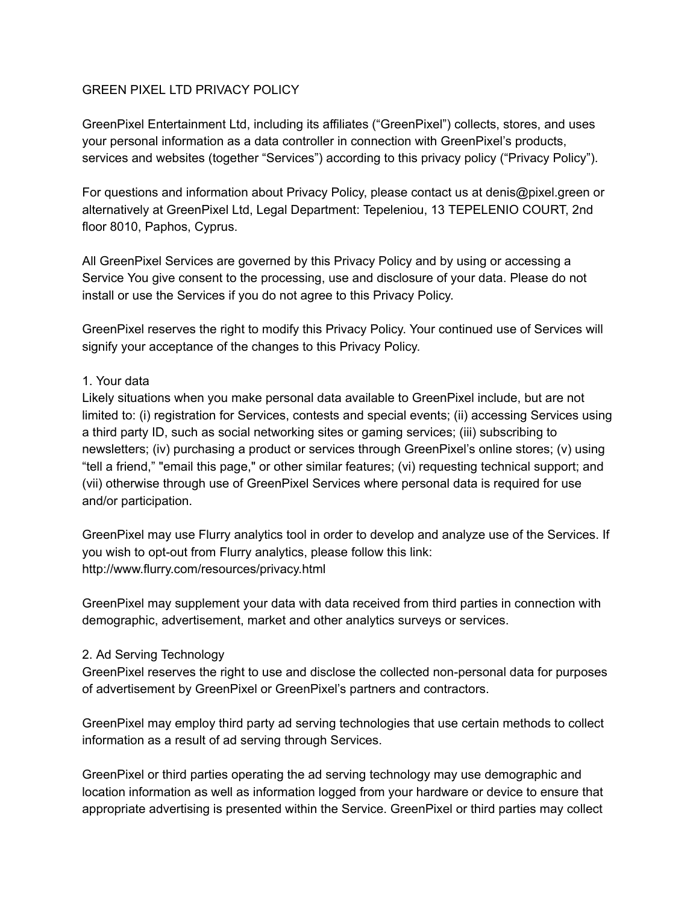## GREEN PIXEL LTD PRIVACY POLICY

GreenPixel Entertainment Ltd, including its affiliates ("GreenPixel") collects, stores, and uses your personal information as a data controller in connection with GreenPixel's products, services and websites (together "Services") according to this privacy policy ("Privacy Policy").

For questions and information about Privacy Policy, please contact us at denis@pixel.green or alternatively at GreenPixel Ltd, Legal Department: Tepeleniou, 13 TEPELENIO COURT, 2nd floor 8010, Paphos, Cyprus.

All GreenPixel Services are governed by this Privacy Policy and by using or accessing a Service You give consent to the processing, use and disclosure of your data. Please do not install or use the Services if you do not agree to this Privacy Policy.

GreenPixel reserves the right to modify this Privacy Policy. Your continued use of Services will signify your acceptance of the changes to this Privacy Policy.

#### 1. Your data

Likely situations when you make personal data available to GreenPixel include, but are not limited to: (i) registration for Services, contests and special events; (ii) accessing Services using a third party ID, such as social networking sites or gaming services; (iii) subscribing to newsletters; (iv) purchasing a product or services through GreenPixel's online stores; (v) using "tell a friend," "email this page," or other similar features; (vi) requesting technical support; and (vii) otherwise through use of GreenPixel Services where personal data is required for use and/or participation.

GreenPixel may use Flurry analytics tool in order to develop and analyze use of the Services. If you wish to opt-out from Flurry analytics, please follow this link: http://www.flurry.com/resources/privacy.html

GreenPixel may supplement your data with data received from third parties in connection with demographic, advertisement, market and other analytics surveys or services.

#### 2. Ad Serving Technology

GreenPixel reserves the right to use and disclose the collected non-personal data for purposes of advertisement by GreenPixel or GreenPixel's partners and contractors.

GreenPixel may employ third party ad serving technologies that use certain methods to collect information as a result of ad serving through Services.

GreenPixel or third parties operating the ad serving technology may use demographic and location information as well as information logged from your hardware or device to ensure that appropriate advertising is presented within the Service. GreenPixel or third parties may collect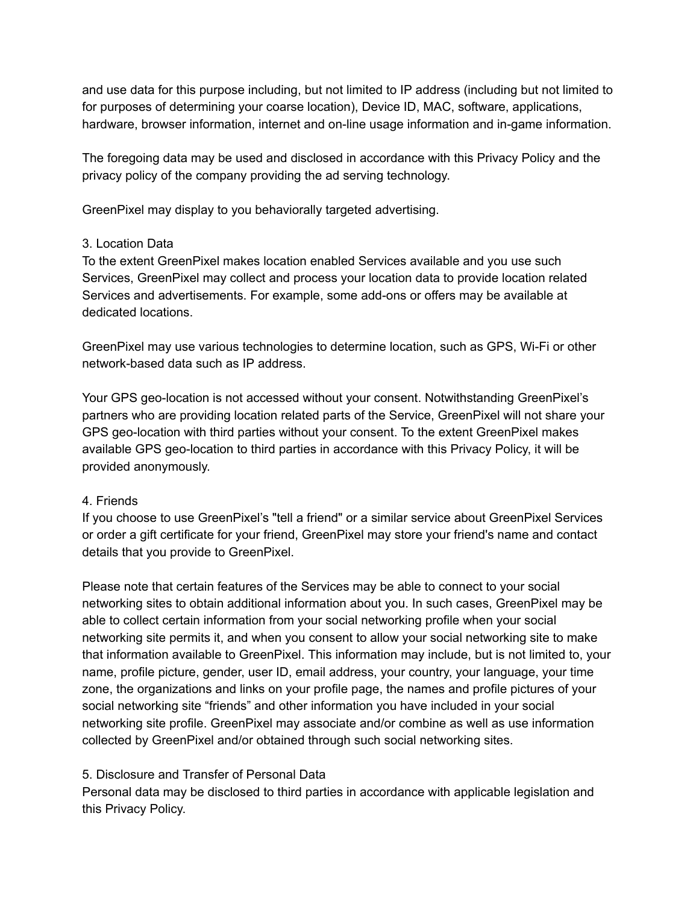and use data for this purpose including, but not limited to IP address (including but not limited to for purposes of determining your coarse location), Device ID, MAC, software, applications, hardware, browser information, internet and on-line usage information and in-game information.

The foregoing data may be used and disclosed in accordance with this Privacy Policy and the privacy policy of the company providing the ad serving technology.

GreenPixel may display to you behaviorally targeted advertising.

## 3. Location Data

To the extent GreenPixel makes location enabled Services available and you use such Services, GreenPixel may collect and process your location data to provide location related Services and advertisements. For example, some add-ons or offers may be available at dedicated locations.

GreenPixel may use various technologies to determine location, such as GPS, Wi-Fi or other network-based data such as IP address.

Your GPS geo-location is not accessed without your consent. Notwithstanding GreenPixel's partners who are providing location related parts of the Service, GreenPixel will not share your GPS geo-location with third parties without your consent. To the extent GreenPixel makes available GPS geo-location to third parties in accordance with this Privacy Policy, it will be provided anonymously.

# 4. Friends

If you choose to use GreenPixel's "tell a friend" or a similar service about GreenPixel Services or order a gift certificate for your friend, GreenPixel may store your friend's name and contact details that you provide to GreenPixel.

Please note that certain features of the Services may be able to connect to your social networking sites to obtain additional information about you. In such cases, GreenPixel may be able to collect certain information from your social networking profile when your social networking site permits it, and when you consent to allow your social networking site to make that information available to GreenPixel. This information may include, but is not limited to, your name, profile picture, gender, user ID, email address, your country, your language, your time zone, the organizations and links on your profile page, the names and profile pictures of your social networking site "friends" and other information you have included in your social networking site profile. GreenPixel may associate and/or combine as well as use information collected by GreenPixel and/or obtained through such social networking sites.

# 5. Disclosure and Transfer of Personal Data

Personal data may be disclosed to third parties in accordance with applicable legislation and this Privacy Policy.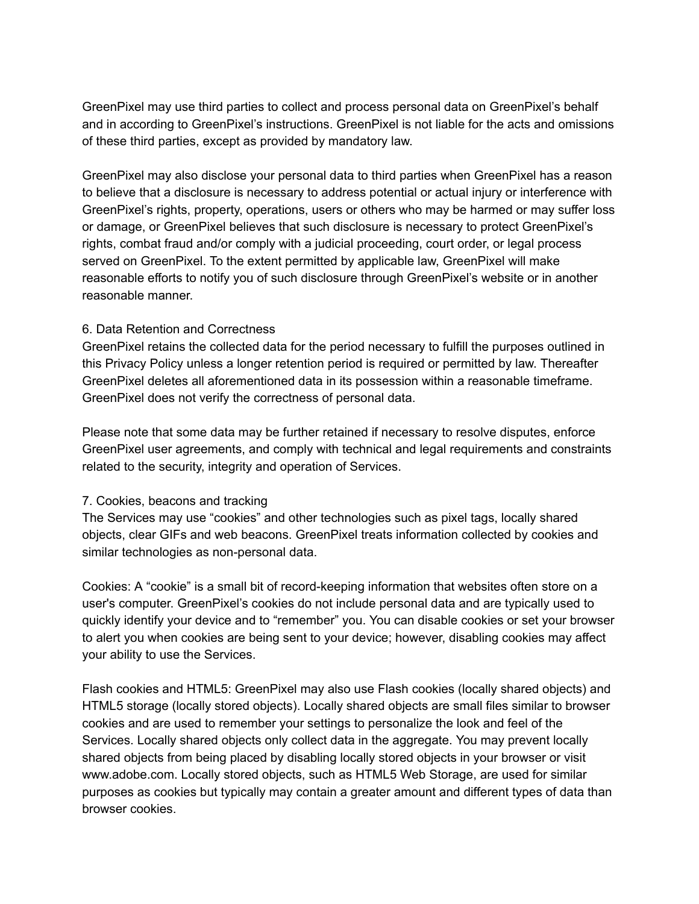GreenPixel may use third parties to collect and process personal data on GreenPixel's behalf and in according to GreenPixel's instructions. GreenPixel is not liable for the acts and omissions of these third parties, except as provided by mandatory law.

GreenPixel may also disclose your personal data to third parties when GreenPixel has a reason to believe that a disclosure is necessary to address potential or actual injury or interference with GreenPixel's rights, property, operations, users or others who may be harmed or may suffer loss or damage, or GreenPixel believes that such disclosure is necessary to protect GreenPixel's rights, combat fraud and/or comply with a judicial proceeding, court order, or legal process served on GreenPixel. To the extent permitted by applicable law, GreenPixel will make reasonable efforts to notify you of such disclosure through GreenPixel's website or in another reasonable manner.

#### 6. Data Retention and Correctness

GreenPixel retains the collected data for the period necessary to fulfill the purposes outlined in this Privacy Policy unless a longer retention period is required or permitted by law. Thereafter GreenPixel deletes all aforementioned data in its possession within a reasonable timeframe. GreenPixel does not verify the correctness of personal data.

Please note that some data may be further retained if necessary to resolve disputes, enforce GreenPixel user agreements, and comply with technical and legal requirements and constraints related to the security, integrity and operation of Services.

#### 7. Cookies, beacons and tracking

The Services may use "cookies" and other technologies such as pixel tags, locally shared objects, clear GIFs and web beacons. GreenPixel treats information collected by cookies and similar technologies as non-personal data.

Cookies: A "cookie" is a small bit of record-keeping information that websites often store on a user's computer. GreenPixel's cookies do not include personal data and are typically used to quickly identify your device and to "remember" you. You can disable cookies or set your browser to alert you when cookies are being sent to your device; however, disabling cookies may affect your ability to use the Services.

Flash cookies and HTML5: GreenPixel may also use Flash cookies (locally shared objects) and HTML5 storage (locally stored objects). Locally shared objects are small files similar to browser cookies and are used to remember your settings to personalize the look and feel of the Services. Locally shared objects only collect data in the aggregate. You may prevent locally shared objects from being placed by disabling locally stored objects in your browser or visit www.adobe.com. Locally stored objects, such as HTML5 Web Storage, are used for similar purposes as cookies but typically may contain a greater amount and different types of data than browser cookies.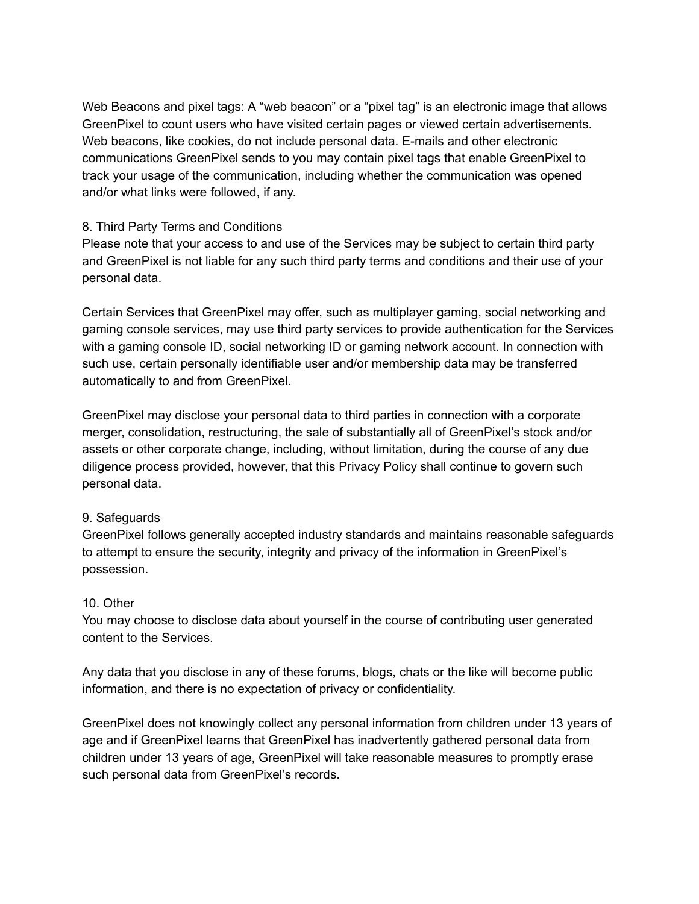Web Beacons and pixel tags: A "web beacon" or a "pixel tag" is an electronic image that allows GreenPixel to count users who have visited certain pages or viewed certain advertisements. Web beacons, like cookies, do not include personal data. E-mails and other electronic communications GreenPixel sends to you may contain pixel tags that enable GreenPixel to track your usage of the communication, including whether the communication was opened and/or what links were followed, if any.

## 8. Third Party Terms and Conditions

Please note that your access to and use of the Services may be subject to certain third party and GreenPixel is not liable for any such third party terms and conditions and their use of your personal data.

Certain Services that GreenPixel may offer, such as multiplayer gaming, social networking and gaming console services, may use third party services to provide authentication for the Services with a gaming console ID, social networking ID or gaming network account. In connection with such use, certain personally identifiable user and/or membership data may be transferred automatically to and from GreenPixel.

GreenPixel may disclose your personal data to third parties in connection with a corporate merger, consolidation, restructuring, the sale of substantially all of GreenPixel's stock and/or assets or other corporate change, including, without limitation, during the course of any due diligence process provided, however, that this Privacy Policy shall continue to govern such personal data.

# 9. Safeguards

GreenPixel follows generally accepted industry standards and maintains reasonable safeguards to attempt to ensure the security, integrity and privacy of the information in GreenPixel's possession.

# 10. Other

You may choose to disclose data about yourself in the course of contributing user generated content to the Services.

Any data that you disclose in any of these forums, blogs, chats or the like will become public information, and there is no expectation of privacy or confidentiality.

GreenPixel does not knowingly collect any personal information from children under 13 years of age and if GreenPixel learns that GreenPixel has inadvertently gathered personal data from children under 13 years of age, GreenPixel will take reasonable measures to promptly erase such personal data from GreenPixel's records.